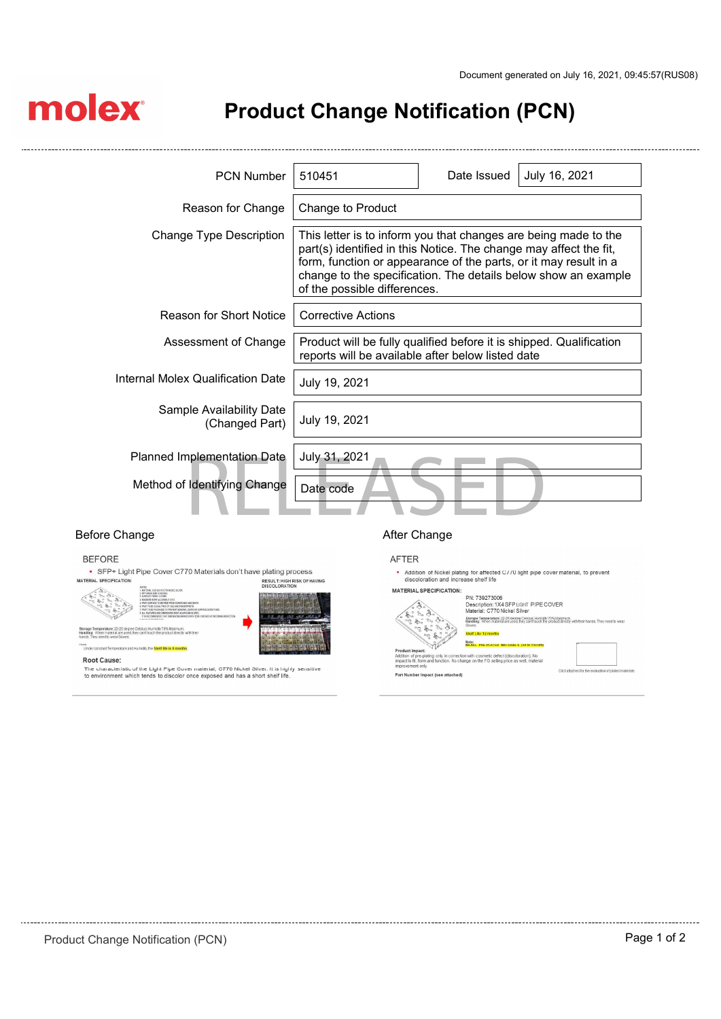$\sim$ 

# molex

 $\sim$ 

## Product Change Notification (PCN)

| <b>PCN Number</b>                          | 510451                                                                                                                                                                                                                                                                                                     | Date Issued | July 16, 2021 |  |
|--------------------------------------------|------------------------------------------------------------------------------------------------------------------------------------------------------------------------------------------------------------------------------------------------------------------------------------------------------------|-------------|---------------|--|
| Reason for Change                          | Change to Product                                                                                                                                                                                                                                                                                          |             |               |  |
| Change Type Description                    | This letter is to inform you that changes are being made to the<br>part(s) identified in this Notice. The change may affect the fit,<br>form, function or appearance of the parts, or it may result in a<br>change to the specification. The details below show an example<br>of the possible differences. |             |               |  |
| <b>Reason for Short Notice</b>             | <b>Corrective Actions</b>                                                                                                                                                                                                                                                                                  |             |               |  |
| Assessment of Change                       | Product will be fully qualified before it is shipped. Qualification<br>reports will be available after below listed date                                                                                                                                                                                   |             |               |  |
| Internal Molex Qualification Date          | July 19, 2021                                                                                                                                                                                                                                                                                              |             |               |  |
| Sample Availability Date<br>(Changed Part) | July 19, 2021                                                                                                                                                                                                                                                                                              |             |               |  |
| Planned Implementation Date                | July 31, 2021                                                                                                                                                                                                                                                                                              |             |               |  |
| Method of Identifying Change               | Date code                                                                                                                                                                                                                                                                                                  |             |               |  |

## Before Change **After Change After Change**

### **BEFORE**

• SFP+ Light Pipe Cover C770 Materials don't have plating process MATERIAL SPECIFICATION RESULT: HIGH RISK OF HAVING<br>DISCOLORATION



Storage Temperature: 22-25 degree Celsius; Humidity 70% Maximum.<br>Handling: When material are used, they can't touch the product directly<br>hands: They need to wear Gloves.



**Root Cause:** 

The characteristic of the Light Pipe Cover material, C770 Nickel Silver. It is highly sensitive<br>to environment which tends to discolor once exposed and has a short shelf life.

## AFTER

\* Addition of Nickel plating for affected C//0 light pipe cover material, to prevent<br>discoloration and increase shelf life

| <b>MATERIAL SPECIFICATION:</b>    |                                                                                                                                                                                 |
|-----------------------------------|---------------------------------------------------------------------------------------------------------------------------------------------------------------------------------|
|                                   | PN: 739273006                                                                                                                                                                   |
|                                   | Description: 1X4 SFP LIGHT PIPE COVER                                                                                                                                           |
|                                   | Material: C770 Nickel Silver                                                                                                                                                    |
|                                   | Storage Temperature: 22-25 degree Celsius; Humidity 70% Maximum.<br>Handling: When material are used, they can't touch the product directly with their hands. They need to wear |
|                                   | Gloves                                                                                                                                                                          |
|                                   |                                                                                                                                                                                 |
|                                   | Shelf Life: 12 months                                                                                                                                                           |
|                                   | Note:<br>NICKEL PRE-PLATED MATERIALS (50 TO 150 BM)                                                                                                                             |
| Product Impact:                   |                                                                                                                                                                                 |
|                                   | Addition of pre-plating only in correction with cosmetic defect (discoloration). No                                                                                             |
|                                   | impact to fit, form and function. No change on the FG selling price as well, material                                                                                           |
| improvement only                  | Click attached for the evaluation of plated materials                                                                                                                           |
| Part Number Impact (see attached) |                                                                                                                                                                                 |
|                                   |                                                                                                                                                                                 |
|                                   |                                                                                                                                                                                 |